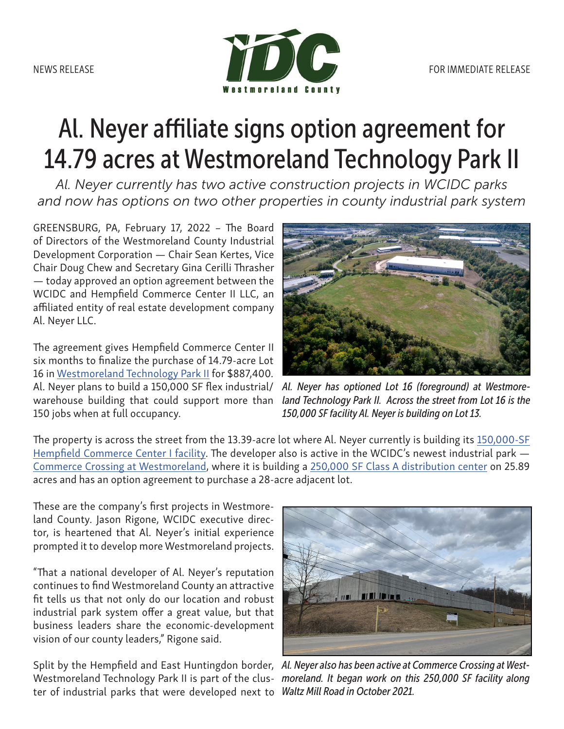

## Al. Neyer affiliate signs option agreement for 14.79 acres at Westmoreland Technology Park II

*Al. Neyer currently has two active construction projects in WCIDC parks and now has options on two other properties in county industrial park system*

GREENSBURG, PA, February 17, 2022 – The Board of Directors of the Westmoreland County Industrial Development Corporation — Chair Sean Kertes, Vice Chair Doug Chew and Secretary Gina Cerilli Thrasher — today approved an option agreement between the WCIDC and Hempfield Commerce Center II LLC, an affiliated entity of real estate development company Al. Neyer LLC.

The agreement gives Hempfield Commerce Center II six months to finalize the purchase of 14.79-acre Lot 16 in [Westmoreland Technology Park II](https://www.co.westmoreland.pa.us/592/Westmoreland-Technology-Park-II) for \$887,400. Al. Neyer plans to build a 150,000 SF flex industrial/ warehouse building that could support more than 150 jobs when at full occupancy.



*Al. Neyer has optioned Lot 16 (foreground) at Westmoreland Technology Park II. Across the street from Lot 16 is the 150,000 SF facility Al. Neyer is building on Lot 13.*

The property is across the street from the 13.39-acre lot where Al. Neyer currently is building its [150,000-SF](https://www.westmorelandsites.com/westmorelandcounty/property/Excel-Drive-Hunker-Pennsylvania/9B36D2F4-BB8B-46D1-B744-7E3F99E5D31E?lat=40.1961941175033&lng=-79.5849375247735&zoom=15) [Hempfield Commerce Center I facility](https://www.westmorelandsites.com/westmorelandcounty/property/Excel-Drive-Hunker-Pennsylvania/9B36D2F4-BB8B-46D1-B744-7E3F99E5D31E?lat=40.1961941175033&lng=-79.5849375247735&zoom=15). The developer also is active in the WCIDC's newest industrial park — [Commerce Crossing at Westmoreland](https://www.co.westmoreland.pa.us/2788/Commerce-Crossing-at-Westmoreland), where it is building a [250,000 SF Class A distribution center](https://www.westmorelandsites.com/westmorelandcounty/property/Waltz-Mill-Road-Sewickley-Township-Pennsylvania/B39D92EA-C396-448E-ACEF-F6529013C2CE?lat=40.2173767909577&lng=-79.6675924777765&zoom=15) on 25.89 acres and has an option agreement to purchase a 28-acre adjacent lot.

These are the company's first projects in Westmoreland County. Jason Rigone, WCIDC executive director, is heartened that Al. Neyer's initial experience prompted it to develop more Westmoreland projects.

"That a national developer of Al. Neyer's reputation continues to find Westmoreland County an attractive fit tells us that not only do our location and robust industrial park system offer a great value, but that business leaders share the economic-development vision of our county leaders," Rigone said.

ter of industrial parks that were developed next to *Waltz Mill Road in October 2021.*



Split by the Hempfield and East Huntingdon border, *Al. Neyer also has been active at Commerce Crossing at West-*Westmoreland Technology Park II is part of the clus- moreland. It began work on this 250,000 SF facility along